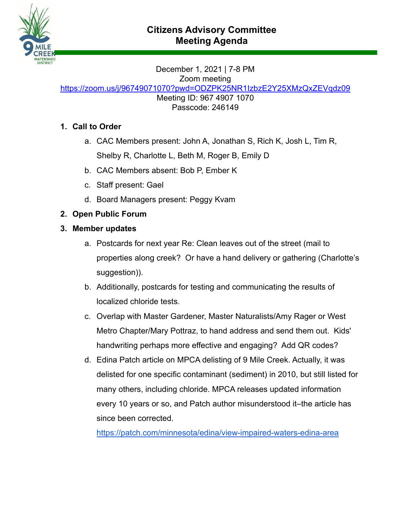

December 1, 2021 | 7-8 PM Zoom meeting

<https://zoom.us/j/96749071070?pwd=ODZPK25NR1IzbzE2Y25XMzQxZEVqdz09>

Meeting ID: 967 4907 1070 Passcode: 246149

# **1. Call to Order**

- a. CAC Members present: John A, Jonathan S, Rich K, Josh L, Tim R, Shelby R, Charlotte L, Beth M, Roger B, Emily D
- b. CAC Members absent: Bob P, Ember K
- c. Staff present: Gael
- d. Board Managers present: Peggy Kvam
- **2. Open Public Forum**
- **3. Member updates**
	- a. Postcards for next year Re: Clean leaves out of the street (mail to properties along creek? Or have a hand delivery or gathering (Charlotte's suggestion)).
	- b. Additionally, postcards for testing and communicating the results of localized chloride tests.
	- c. Overlap with Master Gardener, Master Naturalists/Amy Rager or West Metro Chapter/Mary Pottraz, to hand address and send them out. Kids' handwriting perhaps more effective and engaging? Add QR codes?
	- d. Edina Patch article on MPCA delisting of 9 Mile Creek. Actually, it was delisted for one specific contaminant (sediment) in 2010, but still listed for many others, including chloride. MPCA releases updated information every 10 years or so, and Patch author misunderstood it–the article has since been corrected.

<https://patch.com/minnesota/edina/view-impaired-waters-edina-area>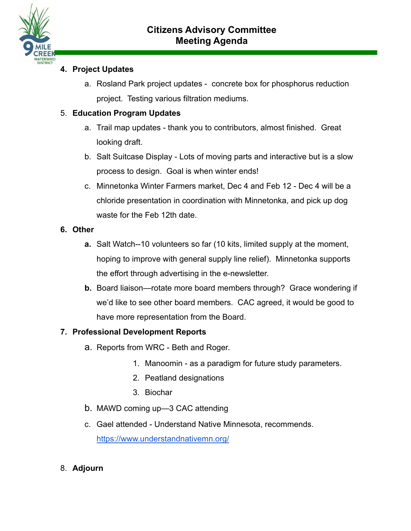

# **4. Project Updates**

a. Rosland Park project updates - concrete box for phosphorus reduction project. Testing various filtration mediums.

### 5. **Education Program Updates**

- a. Trail map updates thank you to contributors, almost finished. Great looking draft.
- b. Salt Suitcase Display Lots of moving parts and interactive but is a slow process to design. Goal is when winter ends!
- c. Minnetonka Winter Farmers market, Dec 4 and Feb 12 Dec 4 will be a chloride presentation in coordination with Minnetonka, and pick up dog waste for the Feb 12th date.
- **6. Other**
	- **a.** Salt Watch--10 volunteers so far (10 kits, limited supply at the moment, hoping to improve with general supply line relief). Minnetonka supports the effort through advertising in the e-newsletter.
	- **b.** Board liaison—rotate more board members through? Grace wondering if we'd like to see other board members. CAC agreed, it would be good to have more representation from the Board.

#### **7. Professional Development Reports**

- a. Reports from WRC Beth and Roger.
	- 1. Manoomin as a paradigm for future study parameters.
	- 2. Peatland designations
	- 3. Biochar
- b. MAWD coming up—3 CAC attending
- c. Gael attended Understand Native Minnesota, recommends. <https://www.understandnativemn.org/>
- 8. **Adjourn**